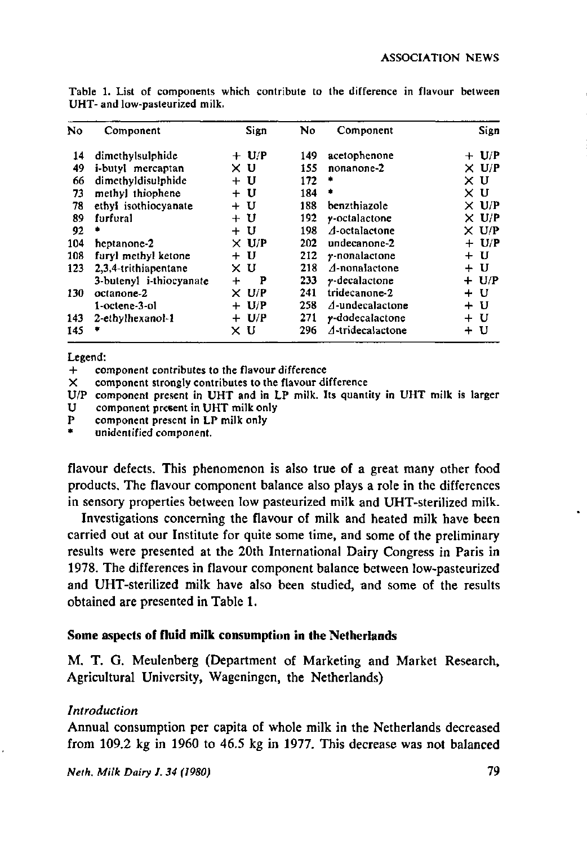| No  | Component               | Sign               | No. | Component                | Sign         |
|-----|-------------------------|--------------------|-----|--------------------------|--------------|
| 14  | dimethylsulphide        | $+ U/P$            | 149 | acetophenone             | $+$ U/P      |
| 49  | i-butyl mercaptan       | χU                 | 155 | nonanone-2               | $\times$ U/P |
| 66  | dimethyldisulphide      | U<br>$+$           | 172 | ٠                        | хu           |
| 73  | methyl thiophene        | + U                | 184 | ۰                        | хu           |
| 78  | ethyl isothiocyanate    | + U                | 188 | benzthiazole             | $\times$ U/P |
| 89  | furfural                | + U                | 192 | $y$ -octalactone         | $\times$ U/P |
| 92  |                         | + U                | 198 | $\Lambda$ -octalactone   | $\times$ U/P |
| 104 | heptanone-2             | $\times$ U/P       | 202 | undecanone-2             | $+ U/P$      |
| 108 | furyl methyl ketone     | - U<br>$\ddotmark$ | 212 | $\gamma$ -nonalactone    | + U          |
| 123 | 2.3.4-trithiapentane    | χU                 | 218 | $\Delta$ -nonalactone    | + U          |
|     | 3-butenyl i-thiocyanate | P<br>╇             | 233 | $\gamma$ -decalactone    | $+ U/P$      |
| 130 | octanone-2              | $\times$ U/P       | 241 | tridecanone-2            | + U          |
|     | 1-octene-3-ol           | + U/P              | 258 | $\Lambda$ -undecalactone | + U          |
| 143 | $2$ -ethylhexanol-1     | $+ U/P$            | 271 | y-dodecalactone          | + U          |
| 145 | ٠                       | ΧU                 | 296 | A-tridecalactone         | + U          |

Table 1. List of components which contribute to the difference in flavour between UHT- and low-pasteurized milk.

Legend:

component contributes to the flavour difference

X component strongly contributes to the flavour difference

- U/P component present in UHT and in LP milk. Its quantity in UHT milk is larger U component present in UHT milk only
- P component present in LP milk only

unidentified component.

flavour defects. This phenomenon is also true of a great many other food products. The flavour component balance also plays a role in the differences in sensory properties between low pasteurized milk and UHT-sterilized milk.

Investigations concerning the flavour of milk and heated milk have been carried out at our Institute for quite some time, and some of the preliminary results were presented at the 20th International Dairy Congress in Paris in 1978. The differences in flavour component balance between low-pasteurized and UHT-sterilized milk have also been studied, and some of the results obtained are presented in Table **1.** 

### **Some aspects of fluid milk consumption in the Netherlands**

M. **T.** G. Meulenberg (Department of Marketing and Market Research, Agricultural University, Wageningen, the Netherlands)

### *Introduction*

Annual consumption per capita of whole milk in the Netherlands decreased from 109.2 kg in 1960 to 46.5 kg in 1977. This decrease was not balanced

*Neth. Milk Dairy J. 34 (1980)* 79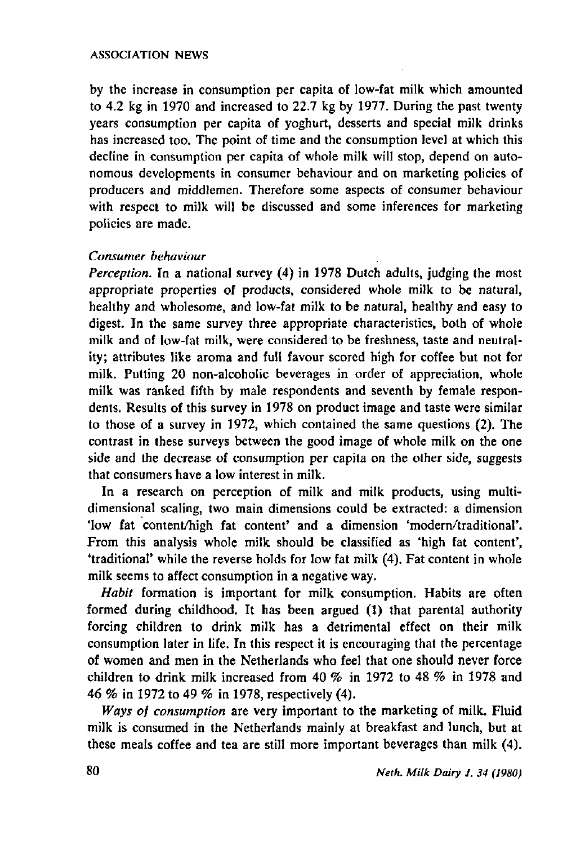#### ASSOCIATION NEWS

by the increase in consumption per capita of low-fat milk which amounted to 4.2 kg in 1970 and increased to 22.7 kg by 1977. During the past twenty years consumption per capita of yoghurt, desserts and special milk drinks has increased too. The point of time and the consumption level at which this decline in consumption per capita of whole milk will stop, depend on autonomous developments in consumer behaviour and on marketing policies of producers and middlemen. Therefore some aspects of consumer behaviour with respect to milk will be discussed and some inferences for marketing policies are made.

## *Consumer behaviour*

*Perception.* In a national survey (4) in 1978 Dutch adults, judging the most appropriate properties of products, considered whole milk to be natural, healthy and wholesome, and low-fat milk to be natural, healthy and easy to digest. In the same survey three appropriate characteristics, both of whole milk and of low-fat milk, were considered to be freshness, taste and neutrality; attributes like aroma and full favour scored high for coffee but not for milk. Putting 20 non-alcoholic beverages in order of appreciation, whole milk was ranked fifth by male respondents and seventh by female respondents. Results of this survey in 1978 on product image and taste were similar to those of a survey in 1972, which contained the same questions (2). The contrast in these surveys between the good image of whole milk on the one side and the decrease of consumption per capita on the other side, suggests that consumers have a low interest in milk.

In a research on perception of milk and milk products, using multidimensional scaling, two main dimensions could be extracted: a dimension 'low fat content/high fat content' and a dimension 'modern/traditional'. From this analysis whole milk should be classified as 'high fat content', 'traditional' while the reverse holds for low fat milk (4). Fat content in whole milk seems to affect consumption in a negative way.

*Habit* formation is important for milk consumption. Habits are often formed during childhood. It has been argued (1) that parental authority forcing children to drink milk has a detrimental effect on their milk consumption later in life. In this respect it is encouraging that the percentage of women and men in the Netherlands who feel that one should never force children to drink milk increased from 40 *%* in 1972 to 48 *%* in 1978 and 46 *%* in 1972 to 49 *%* in 1978, respectively (4).

*Ways of consumption* are very important to the marketing of milk. Fluid milk is consumed in the Netherlands mainly at breakfast and lunch, but at these meals coffee and tea are still more important beverages than milk (4).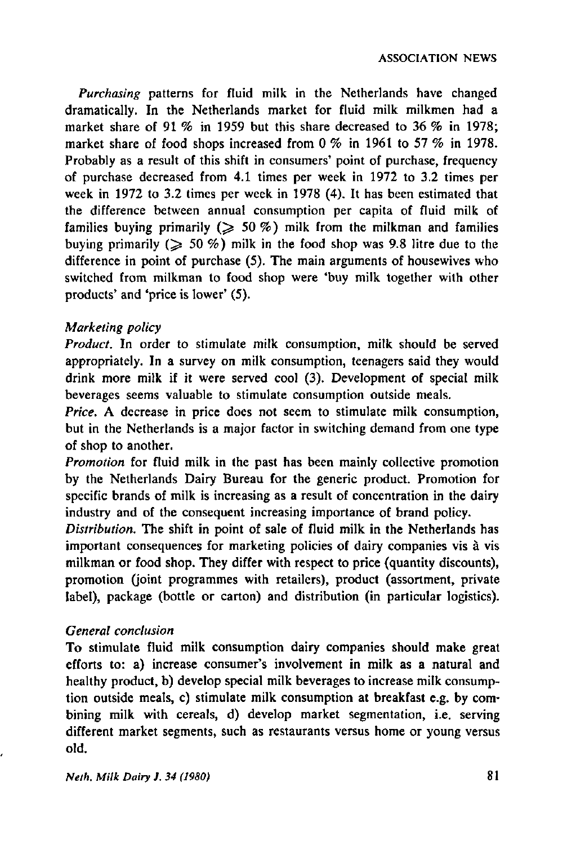*Purchasing* patterns for fluid milk in the Netherlands have changed dramatically. In the Netherlands market for fluid milk milkmen had a market share of 91 % in 1959 but this share decreased to 36 *%* in 1978; market share of food shops increased from 0 % in 1961 to 57 % in 1978. Probably as a result of this shift in consumers' point of purchase, frequency of purchase decreased from 4.1 times per week in 1972 to 3.2 times per week in 1972 to 3.2 times per week in 1978 (4). It has been estimated that the difference between annual consumption per capita of fluid milk of families buying primarily ( $\geqslant$  50 %) milk from the milkman and families buying primarily  $($   $\geq 50 \%$ ) milk in the food shop was 9.8 litre due to the difference in point of purchase (5). The main arguments of housewives who switched from milkman to food shop were 'buy milk together with other products' and 'price is lower' (5).

## *Marketing policy*

*Product.* In order to stimulate milk consumption, milk should be served appropriately. In a survey on milk consumption, teenagers said they would drink more milk if it were served cool (3). Development of special milk beverages seems valuable to stimulate consumption outside meals.

*Price.* A decrease in price does not seem to stimulate milk consumption, but in the Netherlands is a major factor in switching demand from one type of shop to another.

*Promotion* for fluid milk in the past has been mainly collective promotion by the Netherlands Dairy Bureau for the generic product. Promotion for specific brands of milk is increasing as a result of concentration in the dairy industry and of the consequent increasing importance of brand policy.

*Distribution.* The shift in point of sale of fluid milk in the Netherlands has important consequences for marketing policies of dairy companies vis à vis milkman or food shop. They differ with respect to price (quantity discounts), promotion (joint programmes with retailers), product (assortment, private label), package (bottle or carton) and distribution (in particular logistics).

## *General conclusion*

To stimulate fluid milk consumption dairy companies should make great efforts to: a) increase consumer's involvement in milk as a natural and healthy product, b) develop special milk beverages to increase milk consumption outside meals, c) stimulate milk consumption at breakfast e.g. by combining milk with cereals, d) develop market segmentation, i.e. serving different market segments, such as restaurants versus home or young versus old.